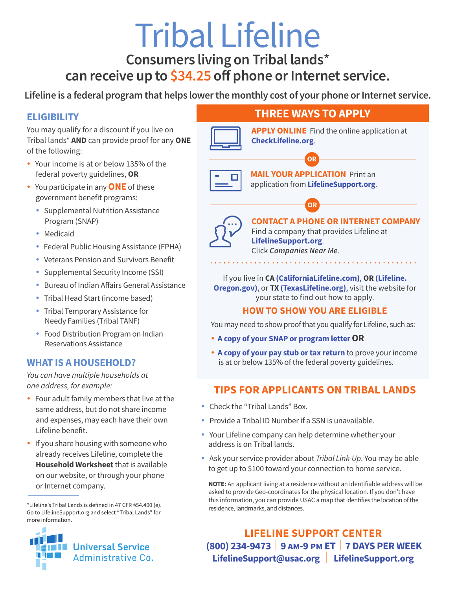# Tribal Lifeline

**Consumers living on Tribal lands**\*

# **can receive up to \$34.25 off phone or Internet service.**

**Lifeline is a federal program that helps lower the monthly cost of your phone or Internet service.**

### **ELIGIBILITY**

You may qualify for a discount if you live on Tribal lands\* **AND** can provide proof for any **ONE** of the following:

- Your income is at or below 135% of the federal poverty guidelines, **OR**
- You participate in any **ONE** of these government benefit programs:
	- Supplemental Nutrition Assistance Program (SNAP)
	- Medicaid
	- Federal Public Housing Assistance (FPHA)
	- Veterans Pension and Survivors Benefit
	- Supplemental Security Income (SSI)
	- Bureau of Indian Affairs General Assistance
	- Tribal Head Start (income based)
	- Tribal Temporary Assistance for Needy Families (Tribal TANF)
	- Food Distribution Program on Indian Reservations Assistance

### **WHAT IS A HOUSEHOLD?**

*You can have multiple households at one address, for example:*

- Four adult family members that live at the same address, but do not share income and expenses, may each have their own Lifeline benefit.
- If you share housing with someone who already receives Lifeline, complete the **Household Worksheet** that is available on our website, or through your phone or Internet company.

<sup>\*</sup>Lifeline's Tribal Lands is defined in 47 CFR §54.400 (e). Go to LifelineSupport.org and select "Tribal Lands" for more information.



# **THREE WAYS TO APPLY**

**OR**

**OR**



**APPLY ONLINE** Find the online application at **[CheckLifeline.org](https://nationalverifier.servicenowservices.com/lifeline)**.

**MAIL YOUR APPLICATION** Print an application from **[LifelineSupport.org](http://www.LifelineSupport.org)**.



**CONTACT A PHONE OR INTERNET COMPANY**  Find a company that provides Lifeline at **[LifelineSupport.org](http://www.LifelineSupport.org)**. Click *Companies Near Me.*

If you live in **CA [\(CaliforniaLifeline.com\)](http://californialifeline.com)**, **OR [\(Lifeline.](http://lifeline.oregon.gov) [Oregon.gov\)](http://lifeline.oregon.gov)**, or **TX [\(TexasLifeline.org\)](https://www.texaslifeline.org/)**, visit the website for your state to find out how to apply.

#### **HOW TO SHOW YOU ARE ELIGIBLE**

You may need to show proof that you qualify for Lifeline, such as:

- **A copy of your SNAP or program letterOR**
- **A copy of your pay stub or tax return** to prove your income is at or below 135% of the federal poverty guidelines.

# **TIPS FOR APPLICANTS ON TRIBAL LANDS**

- Check the "Tribal Lands" Box.
- Provide a Tribal ID Number if a SSN is unavailable.
- Your Lifeline company can help determine whether your address is on Tribal lands.
- Ask your service provider about *Tribal Link-Up*. You may be able to get up to \$100 toward your connection to home service.

**NOTE:** An applicant living at a residence without an identifiable address will be asked to provide Geo-coordinates for the physical location. If you don't have this information, you can provide USAC a map that identifies the location of the residence, landmarks, and distances.

## **LIFELINE SUPPORT CENTER (800) 234-9473** | **9 am-9 pm ET** | **7 DAYS PER WEEK LifelineSupport@usac.org** | **LifelineSupport.org**